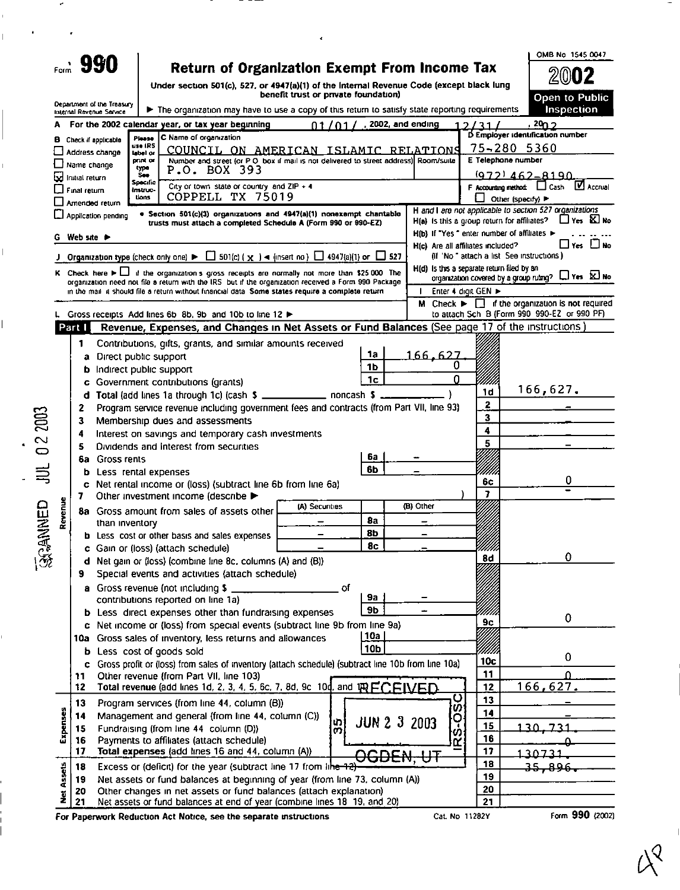Department of the Treasury

umuus<br>Uons

CÓPPELL TX 75019

· Section 501(c)(3) organizations and 4947(a)(1) nonexempt chantable trusts must attach a completed Schedule A (Form 990 or 990-EZ)

## Return of Organization Exempt From Income Tax

Under section 501(c), 527, or 4947(a)(1) of the Internal Revenue Code (except black lung benefit trust or private foundation)

**Contract** 

 $20$  $\boldsymbol{2}$ Open to Public pection

Other (specify)

H and I are not applicable to section 527 organizations<br> $H(a)$  is this a group return for affiliates?  $\Box$  Yes  $\boxtimes$  No

**M** Accrual

OMB No 1545 0047

| Internal Revenue Service     |                     | ► The organization may have to use a copy of this return to satisfy state reporting requirements | mspecuc                                            |
|------------------------------|---------------------|--------------------------------------------------------------------------------------------------|----------------------------------------------------|
|                              |                     | A For the 2002 calendar year, or tax year beginning<br>2002, and ending                          | 20n 2                                              |
| <b>B</b> Check if applicable | <b>Planne</b>       | C Name of organization                                                                           | D Employer identification number                   |
| $\Box$ Address change        | use IRS<br>label or | COUNCIL<br>ON<br>ISLAMIC RELATIONS<br>AMERICAN                                                   | $75 - 280$<br>5360                                 |
| □ Name change                | print or            | Number and street (or P.O. box if mail is not delivered to street address) Room/suite            | E Telephone number                                 |
| al Initial return            | type<br><b>See</b>  | P.O. BOX 393                                                                                     | $(972) 462 - 8190$                                 |
|                              | Specific            | City or town, state or country, and ZIP + 4.                                                     | $\mathbf \nabla$ ,<br>F Accounting method:<br>Cash |
| $\Box$ Final return          | instruc-            |                                                                                                  |                                                    |

Amended return

 $\square$  Application pending

·<br>深葉WHED JUL 02 2003

|                   | G Web site |                                                                                                                                                  |                |                 |                                            |                   | H(b) If "Yes" enter number of affiliates ▶<br>$\square$ Yes $\square$ No                                              |
|-------------------|------------|--------------------------------------------------------------------------------------------------------------------------------------------------|----------------|-----------------|--------------------------------------------|-------------------|-----------------------------------------------------------------------------------------------------------------------|
|                   |            | J Organization type (check only one) $\blacktriangleright \Box$ 501(c) ( $\chi$ ) < (insert no) $\Box$ 4947(a)(1) or $\Box$ 527                  |                |                 | H(c) Are all affiliates included?          |                   | (if 'No " attach a list See instructions)                                                                             |
|                   |            | K Check here $\blacktriangleright \bigsqcup$ if the organization's gross receipts are normally not more than \$25,000. The                       |                |                 | H(d) Is this a separate return filed by an |                   |                                                                                                                       |
|                   |            | organization need not file a return with the IRS but if the organization received a Form 990 Package                                             |                |                 |                                            |                   | organization covered by a group ruling? $\Box$ Yes $\boxtimes$ No                                                     |
|                   |            | in the mail it should file a return without financial data. Some states require a complete return                                                |                |                 |                                            | Enter 4 digit GEN |                                                                                                                       |
|                   |            | L Gross receipts Add lines 6b 8b, 9b and 10b to line 12                                                                                          |                |                 |                                            |                   | M Check $\blacktriangleright \Box$ if the organization is not required<br>to attach Sch B (Form 990 990-EZ or 990 PF) |
|                   | Part I     | Revenue, Expenses, and Changes in Net Assets or Fund Balances (See page 17 of the instructions)                                                  |                |                 |                                            |                   |                                                                                                                       |
|                   | 1          |                                                                                                                                                  |                |                 |                                            |                   |                                                                                                                       |
|                   |            | Contributions, gifts, grants, and similar amounts received<br>Direct public support                                                              |                | 1a              | 166,627                                    |                   |                                                                                                                       |
|                   | а          | Indirect public support                                                                                                                          |                | 1Ь              |                                            |                   |                                                                                                                       |
|                   |            | Government contributions (grants)                                                                                                                |                | 1 <sub>c</sub>  | 0                                          |                   |                                                                                                                       |
|                   | d          | Total (add lines 1a through 1c) (cash \$ ______________ noncash \$                                                                               |                |                 |                                            | 1d                | 166,627.                                                                                                              |
|                   | 2          | Program service revenue including government fees and contracts (from Part VII, line 93)                                                         |                |                 |                                            | 2                 |                                                                                                                       |
|                   | 3          | Membership dues and assessments                                                                                                                  |                |                 |                                            | 3                 |                                                                                                                       |
|                   | 4          | Interest on savings and temporary cash investments                                                                                               |                |                 |                                            | 4                 |                                                                                                                       |
|                   | 5          | Dividends and Interest from securities                                                                                                           |                |                 |                                            | 5                 |                                                                                                                       |
|                   | ßа         | <b>Gross rents</b>                                                                                                                               |                | 6а              |                                            |                   |                                                                                                                       |
| Revenue           | b          | Less rental expenses                                                                                                                             |                | 6b              |                                            |                   |                                                                                                                       |
|                   | c          | Net rental income or (loss) (subtract line 6b from line 6a)                                                                                      |                |                 |                                            |                   | 0                                                                                                                     |
|                   | 7          | Other investment income (describe >                                                                                                              | 7              |                 |                                            |                   |                                                                                                                       |
|                   |            | 8a Gross amount from sales of assets other                                                                                                       | (A) Securities |                 | (B) Other                                  |                   |                                                                                                                       |
|                   |            | than inventory                                                                                                                                   |                | 8a              |                                            |                   |                                                                                                                       |
|                   |            | <b>b</b> Less cost or other basis and sales expenses                                                                                             |                | 86              |                                            |                   |                                                                                                                       |
|                   | c          | Gain or (loss) (attach schedule)                                                                                                                 |                | 8c              |                                            | 8d                | 0                                                                                                                     |
|                   |            | d Net gain or (loss) (combine line 8c, columns (A) and (B))                                                                                      |                |                 |                                            |                   |                                                                                                                       |
|                   | 9          | Special events and activities (attach schedule)                                                                                                  |                |                 |                                            |                   |                                                                                                                       |
|                   |            | a Gross revenue (not including \$                                                                                                                |                |                 |                                            |                   |                                                                                                                       |
|                   | Þ          | contributions reported on line 1a)<br>Less direct expenses other than fundraising expenses                                                       |                | 9а<br><b>9b</b> |                                            |                   |                                                                                                                       |
|                   | c          | Net income or (loss) from special events (subtract line 9b from line 9a)                                                                         |                | 9с              | 0                                          |                   |                                                                                                                       |
|                   |            | 10a Gross sales of inventory, less returns and allowances                                                                                        |                | <u> 10a </u>    |                                            |                   |                                                                                                                       |
|                   |            | <b>b</b> Less cost of goods sold                                                                                                                 |                | 10 <sub>b</sub> |                                            |                   |                                                                                                                       |
|                   | c          | Gross profit or (loss) from sales of inventory (attach schedule) (subtract line 10b from line 10a)                                               |                |                 |                                            | 10c               | 0                                                                                                                     |
|                   | 11         | Other revenue (from Part VII, line 103)                                                                                                          |                |                 |                                            | 11                | n                                                                                                                     |
|                   | 12         | Total revenue (add lines 1d, 2, 3, 4, 5, 6c, 7, 8d, 9c, 10d, and TRECEIVED.                                                                      |                |                 |                                            | 12                | 166,627.                                                                                                              |
|                   | 13         | Program services (from line 44, column (B))                                                                                                      |                |                 | ပ<br>Ø                                     | 13                |                                                                                                                       |
| inses             | 14         | Management and general (from line 44, column (C))                                                                                                | lտi            |                 | O<br>JUN 2 3 2003                          | 14                |                                                                                                                       |
| Expe              | 15         | Fundraising (from line 44 column (D))                                                                                                            |                | ကျ              | ಜ<br> ಜ                                    | 15                | 1 つ へ                                                                                                                 |
|                   | 16<br>17   | Payments to affiliates (attach schedule)                                                                                                         |                | 16              |                                            |                   |                                                                                                                       |
|                   |            | Total expenses (add lines 16 and 44, column (A))                                                                                                 |                | <b>DGDEN.</b>   |                                            | 17<br>18          | 130731                                                                                                                |
| <b>Net Assets</b> | 18         | Excess or (deficit) for the year (subtract line 17 from line 12)                                                                                 |                |                 |                                            | 19                | 35,896                                                                                                                |
|                   | 19<br>20   | Net assets or fund balances at beginning of year (from line 73, column (A))<br>Other changes in net assets or fund balances (attach explanation) |                |                 |                                            | 20                |                                                                                                                       |
|                   | 21         | Net assets or fund balances at end of year (combine lines 18 19, and 20)                                                                         |                |                 |                                            | 21                |                                                                                                                       |
|                   |            |                                                                                                                                                  |                |                 |                                            | 1202V             | $G_{\text{min}}$ 000 $H_{\text{max}}$                                                                                 |

For Paperwork Reduction Act Notice, see the separate instructions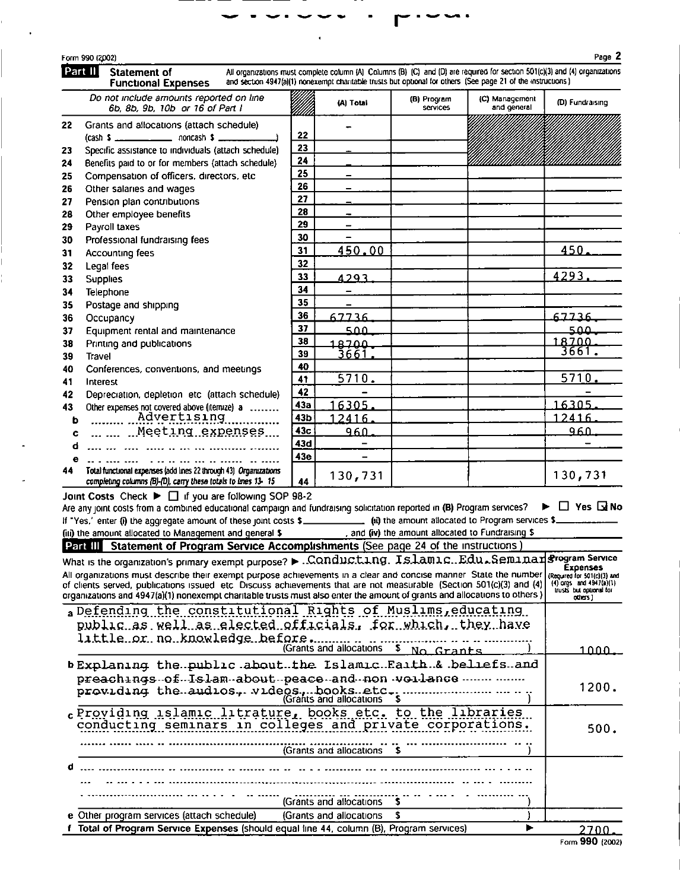| ) (2002)                                          | Page 2                                                                                                                                                                                                                                      |
|---------------------------------------------------|---------------------------------------------------------------------------------------------------------------------------------------------------------------------------------------------------------------------------------------------|
| <b>Statement of</b><br><b>Functional Expenses</b> | All organizations must complete column (A) Columns (B) (C) and (D) are required for section 501(c)(3) and (4) organizations<br>and section 4947(a)(1) nonexempt charitable trusts but optional for others (See page 21 of the instructions) |

a instructions) Do not include amounts reported on line (B) Program (C) Management (D) Fundraising (A) Total 6b, 8b, 9b, 10b or 16 of Part I and general services Grants and allocations (attach schedule)  $\overline{\phantom{0}}$ 22  $\_$  noncash \$  $\_$  $(cash S$ <sub>11</sub> 23 Specific assistance to individuals (attach schedule) 24 Benefits paid to or for members (attach schedule)  $\overline{25}$ Compensation of officers, directors, etc. 26 Other salaries and wages 27 Pension plan contributions  $\overline{28}$ Other employee benefits 29 Payroll taxes  $\overline{\phantom{a}}$ 30 Professional fundraising fees 450.  $31$ 450.00 Accounting fees  $32$ Legal fees 4293.  $33<sup>°</sup>$ 4293 Supplies  $34$ Telephone 35 Postage and shipping 36 Occupancy 67736 67736 37 Equipment rental and maintenance 500 عمء 38 1.8.7.0.0 Printing and publications 18700 3661. 39 3661 Travel 40 Conferences, conventions, and meetings  $5710$  $5710$  $\overline{41}$ Interest 42 42 Depreciation, depletion etc (attach schedule) 16305  $43a$ 16305 Other expenses not covered above (itemize) a ........ 43b 12416 12416. 43с ... ... ... Meeting expenses... 960. 960. 43d  $\overline{\phantom{0}}$ 43e  $\overline{a}$ Total functional expenses (add lines 22 through 43) Organizations 130,731 130,731 completing columns (B)-(D), carry these totals to lines 13-15 44

Joint Costs Check ▶ □ if you are following SOP 98-2

**Form 996** Part I

22

23

24

25

26

27

28

29

30

 $31$ 

32

 $33$ 

34

35

36

 $37$ 

38

39

40

41

43

ь

 $\mathbf{c}$ 

 $\mathbf{e}$ 

44

Are any joint costs from a combined educational campaign and fundraising solicitation reported in (B) Program services? ▶ □ Yes Gi No (ii) the amount allocated to Program services \$\_ If "Yes,' enter (i) the aggregate amount of these joint costs \$ , and (iv) the amount allocated to Fundraising \$ fiil the amount allocated to Management and general \$

|   | Part III Statement of Program Service Accomplishments (See page 24 of the instructions)                                                                                                                                                                                                                                                                                                                                                                                                                                          |                                                                                      |
|---|----------------------------------------------------------------------------------------------------------------------------------------------------------------------------------------------------------------------------------------------------------------------------------------------------------------------------------------------------------------------------------------------------------------------------------------------------------------------------------------------------------------------------------|--------------------------------------------------------------------------------------|
|   | What is the organization's primary exempt purpose? $\blacktriangleright$ . Conducting. Islamic. Edu. Seminar Program Service<br>All organizations must describe their exempt purpose achievements in a clear and concise manner State the number (Required for \$01(c)(3) and<br>of clients served, publications issued etc Discuss achievements that are not measurable (Section 501(c)(3) and (4)<br>organizations and 4947(a)(1) nonexempt charitable trusts must also enter the amount of grants and allocations to others ) | <b>Expenses</b><br>$(4)$ orgs and $4947(a)(1)$<br>trusts but optional for<br>outes i |
|   | a Defending the constitutional Rights of Muslims, educating<br>public as well as elected officials, for which, they have<br>little.or.no.knowledge.before<br>(Grants and allocations \$ No Grants                                                                                                                                                                                                                                                                                                                                | 1 ∩ ∩ ∩                                                                              |
|   | b Explaning the public about the Islamic Faith & beliefs and<br>preachings of Islam about peace and non voilance<br>providing the audios, videos, books etc.                                                                                                                                                                                                                                                                                                                                                                     | 1200.                                                                                |
|   | eProviding islamic litrature, books etc. to the libraries<br>conducting seminars in colleges and private corporations.<br>(Grants and allocations \$                                                                                                                                                                                                                                                                                                                                                                             | 500.                                                                                 |
| d | (Grants and allocations                                                                                                                                                                                                                                                                                                                                                                                                                                                                                                          |                                                                                      |
|   | e Other program services (attach schedule)<br>(Grants and allocations                                                                                                                                                                                                                                                                                                                                                                                                                                                            |                                                                                      |
|   | f Total of Program Service Expenses (should equal line 44, column (B), Program services)                                                                                                                                                                                                                                                                                                                                                                                                                                         | 2700.                                                                                |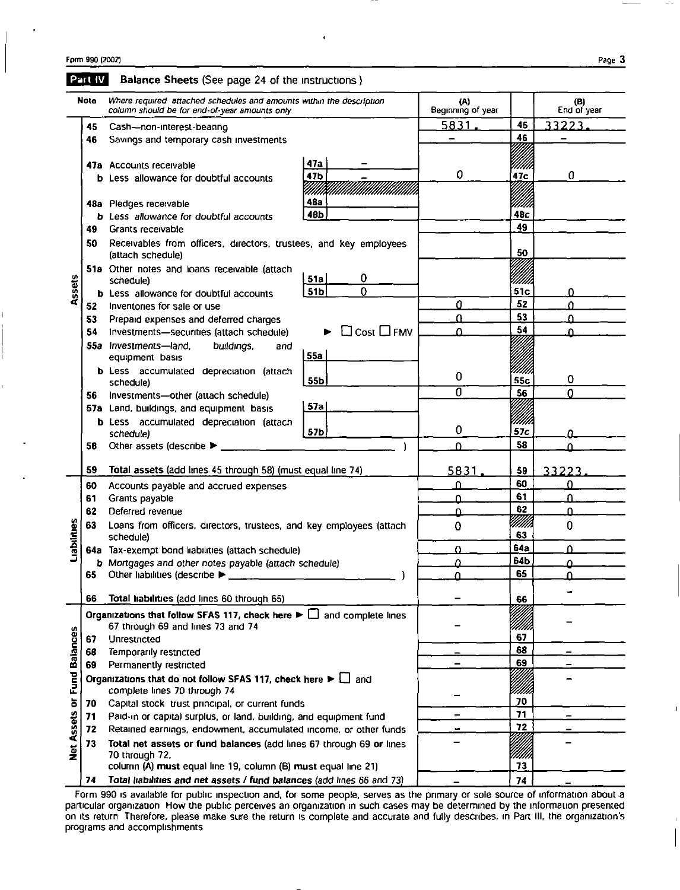|                      | Part IV | Balance Sheets (See page 24 of the instructions)                                                                                                       |                        |                          |                 |                    |
|----------------------|---------|--------------------------------------------------------------------------------------------------------------------------------------------------------|------------------------|--------------------------|-----------------|--------------------|
|                      | Note    | Where required attached schedules and amounts within the description<br>column should be for end-of-year amounts only                                  |                        | (A)<br>Beginning of year |                 | (B)<br>End of year |
|                      | 45      | Cash-non-interest-bearing                                                                                                                              |                        | <u>5831.</u>             | 45              | 33223              |
| Assets               | 46      | Savings and temporary cash investments                                                                                                                 |                        |                          | 46              |                    |
|                      |         | 47a Accounts receivable<br><b>b</b> Less allowance for doubtful accounts                                                                               | 47a<br>47b             | 0                        | um<br>47c       | 0                  |
|                      |         |                                                                                                                                                        | 48a                    |                          |                 |                    |
|                      |         | 48a Pledges receivable<br><b>b</b> Less allowance for doubtful accounts                                                                                | 48b                    |                          | 48с             |                    |
|                      | 49      | Grants receivable                                                                                                                                      |                        |                          | 49              |                    |
|                      | 50      | Receivables from officers, directors, trustees, and key employees<br>(attach schedule)                                                                 |                        |                          | 50              |                    |
|                      |         | 51a Other notes and loans receivable (attach<br>schedule)                                                                                              | 0<br>51a               |                          | m               |                    |
|                      |         | <b>b</b> Less allowance for doubtful accounts                                                                                                          | 0<br>51 <sub>b</sub>   |                          | 51 <sub>c</sub> | 0                  |
|                      | 52.     | Inventories for sale or use                                                                                                                            |                        | 0                        | 52              | $\Omega$           |
|                      | 53      | Prepaid expenses and deferred charges                                                                                                                  |                        | U                        | 53              | Ω                  |
|                      | 54      | Investments-securities (attach schedule)                                                                                                               | $\Box$ Cost $\Box$ FMV | Λ                        | 54              | Λ                  |
|                      |         | 55a Investments-land,<br>buildings,<br>and<br>equipment basis                                                                                          | 55a                    |                          |                 |                    |
|                      |         | <b>b</b> Less accumulated depreciation (attach                                                                                                         | 55b                    | 0                        | 55c             | 0                  |
|                      | 56.     | schedule)<br>Investments-other (attach schedule)                                                                                                       |                        | 0                        | 56              | $\mathbf{0}$       |
|                      |         | 57a Land, buildings, and equipment basis                                                                                                               | 57a                    |                          |                 |                    |
|                      |         | <b>b</b> Less accumulated depreciation (attach                                                                                                         |                        |                          | 'IIIII          |                    |
|                      |         | schedule)                                                                                                                                              | 57b                    | 0                        | 57c             | n                  |
|                      | 58      | Other assets (describe $\blacktriangleright$                                                                                                           |                        | $\Omega$                 | 58              | O                  |
|                      | 59      | Total assets (add lines 45 through 58) (must equal line 74)                                                                                            |                        | 5831                     | 59              | 33223              |
|                      | 60      | Accounts payable and accrued expenses                                                                                                                  |                        | 0                        | 60              | 0                  |
|                      | 61      | Grants payable                                                                                                                                         |                        | ≏                        | 61              | $\Omega$           |
|                      | 62      | Deferred revenue                                                                                                                                       |                        | ≏                        | 62              | $\Omega$           |
| Liabilities          | 63      | Loans from officers, directors, trustees, and key employees (attach<br>schedule)                                                                       | 0                      | MMI<br>63                | 0               |                    |
|                      |         | 64a Tax-exempt bond liabilities (attach schedule)                                                                                                      | 0                      | 64a                      | Λ               |                    |
|                      |         | b Mortgages and other notes payable (attach schedule)                                                                                                  | Ω                      | 64b                      | Λ               |                    |
|                      | 65      | Other liabilities (describe ▶                                                                                                                          |                        |                          | 65              |                    |
|                      | 66      | Total liabilities (add lines 60 through 65)                                                                                                            |                        |                          | 66              |                    |
|                      |         | Organizations that follow SFAS 117, check here $\blacktriangleright \Box$ and complete lines<br>67 through 69 and lines 73 and 74                      |                        |                          | (IIIII)         |                    |
|                      | 67      | Unrestricted                                                                                                                                           |                        |                          | 67              |                    |
|                      | 68      | Temporarily restricted                                                                                                                                 |                        |                          | 68              |                    |
|                      | 69      | Permanently restricted                                                                                                                                 |                        |                          | 69              |                    |
| <b>Fund Balances</b> |         | Organizations that do not follow SFAS 117, check here $\blacktriangleright \Box$ and<br>complete lines 70 through 74                                   |                        |                          |                 |                    |
|                      | 70      | Capital stock trust principal, or current funds                                                                                                        |                        |                          | 70              |                    |
|                      | 71      | Paid-in or capital surplus, or land, building, and equipment fund                                                                                      |                        |                          | 71              |                    |
|                      | 72      | Retained earnings, endowment, accumulated income, or other funds                                                                                       |                        |                          | 72              |                    |
| Net Assets or        | 73      | Total net assets or fund balances (add lines 67 through 69 or lines<br>70 through 72,<br>column (A) must equal line 19, column (B) must equal line 21) |                        |                          | iiii.<br>73     |                    |
|                      | 74      | Total liabilities and net assets / fund balances (add lines 66 and 73)                                                                                 |                        |                          | 74              |                    |
|                      |         |                                                                                                                                                        |                        |                          |                 |                    |

Form 990 is available for public inspection and, for some people, serves as the primary or sole source of information about a particular organization How the public perceives an organization in such cases may be determined by the information presented on its return Therefore, please make sure the return is complete and accurate and fully describes, in Part III, the organization's programs and accomplishments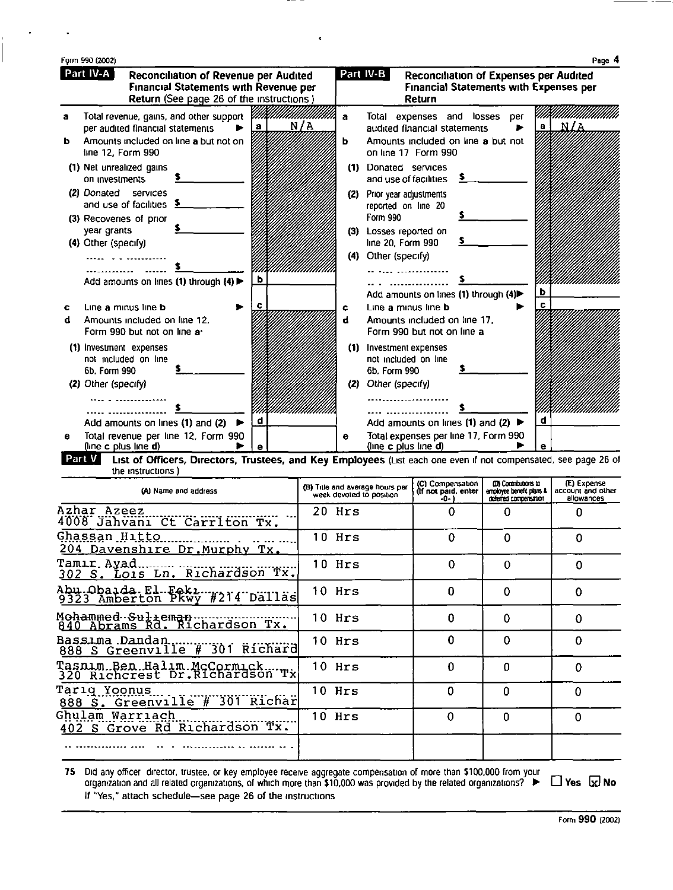|        | Part IV-A           |                                                     | Reconciliation of Revenue per Audited<br><b>Financial Statements with Revenue per</b><br>Return (See page 26 of the instructions) |          |        | Part IV-B<br>Reconciliation of Expenses per Audited<br><b>Financial Statements with Expenses per</b><br>Return |              |
|--------|---------------------|-----------------------------------------------------|-----------------------------------------------------------------------------------------------------------------------------------|----------|--------|----------------------------------------------------------------------------------------------------------------|--------------|
| а<br>ь |                     | per audited financial statements                    | Total revenue, gains, and other support<br>Amounts included on line a but not on                                                  | N/A<br>a | a<br>ь | Total expenses and losses<br>per<br>audited financial statements<br>Amounts included on line a but not         | - N/A<br>a l |
|        | line 12, Form 990   |                                                     |                                                                                                                                   |          |        | on line 17 Form 990                                                                                            |              |
|        | on investments      | (1) Net unrealized gains                            |                                                                                                                                   |          | (1)    | Donated services<br>and use of facilities                                                                      |              |
|        |                     | (2) Donated services<br>and use of facilities       |                                                                                                                                   |          | (2)    | Prior year adjustments<br>reported on line 20                                                                  |              |
|        |                     | (3) Recoveries of prior                             |                                                                                                                                   |          |        | Form 990                                                                                                       |              |
|        | year grants         |                                                     |                                                                                                                                   |          |        | (3) Losses reported on<br>line 20, Form 990                                                                    |              |
|        | (4) Other (specify) |                                                     |                                                                                                                                   |          | (4)    | Other (specify)                                                                                                |              |
|        |                     |                                                     |                                                                                                                                   |          |        |                                                                                                                |              |
|        |                     |                                                     | Add amounts on lines (1) through (4) >                                                                                            | b        |        |                                                                                                                |              |
|        |                     |                                                     |                                                                                                                                   |          |        | Add amounts on lines (1) through (4)                                                                           | b<br>c       |
| с<br>d |                     | Line a minus line b<br>Amounts included on line 12. |                                                                                                                                   |          | c      | Line a minus line b<br>Amounts included on line 17.                                                            |              |
|        |                     | Form 990 but not on line a-                         |                                                                                                                                   |          |        | Form 990 but not on line a                                                                                     |              |
|        |                     | (1) investment expenses                             |                                                                                                                                   |          | (1)    | Investment expenses                                                                                            |              |
|        |                     | not included on line                                |                                                                                                                                   |          |        | not included on line                                                                                           |              |
|        | 6b. Form 990        |                                                     |                                                                                                                                   |          |        | 6b. Form 990                                                                                                   |              |
|        | (2) Other (specify) |                                                     |                                                                                                                                   |          | (2)    | Other (specify)                                                                                                |              |
|        |                     |                                                     |                                                                                                                                   |          |        |                                                                                                                |              |
|        |                     |                                                     | Add amounts on lines (1) and (2)                                                                                                  | d        |        | Add amounts on lines (1) and (2) $\blacktriangleright$                                                         | d            |
|        |                     | (line c plus line d)                                | Total revenue per line 12, Form 990                                                                                               |          | е      | Total expenses per line 17, Form 990<br>(line c plus line d)                                                   | е            |

 $\overline{\phantom{0}}$ 

 $\frac{1}{\sqrt{2}}$ 

List of Officers, Directors, Trustees, and Key Employees (List each one even if not compensated, see page 26 of the instructions )

| (A) Name and address                                         | (B) Title and average hours per<br>week devoted to position | (C) Compensation<br>(If not paid, enter<br>$-0-1$ | <b>IDI Contributions to</b><br>employee benefit plans &<br>deferred compensation | (E) Expense<br>account and other<br>allowances |
|--------------------------------------------------------------|-------------------------------------------------------------|---------------------------------------------------|----------------------------------------------------------------------------------|------------------------------------------------|
| Azhar Azeez<br>4008 Jahvani Ct Carriton Tx.                  | 20 Hrs                                                      | 0                                                 | 0                                                                                |                                                |
| Ghassan Hitto<br>204 Davenshire Dr. Murphy Tx.               | $10$ Hrs                                                    | 0                                                 | 0                                                                                | 0                                              |
| Tamır Ayad.<br>302 S. Lois Ln. Richardson Tx.                | 10 Hrs                                                      | 0                                                 | 0                                                                                | 0                                              |
| Abu.Obaida.El.Feki#214 Dallas                                | 10 Hrs                                                      | $\Omega$                                          | 0                                                                                | 0                                              |
|                                                              | $10$ Hrs                                                    | 0                                                 | 0                                                                                | 0                                              |
| Bassima Dandan<br>888 S Greenville # 301 Richard             | 10 Hrs                                                      | 0                                                 | 0                                                                                | 0                                              |
| Tasnim Ben Halim McCormick<br>320 Richcrest Dr.Richardson Tx | 10 Hrs                                                      | $\Omega$                                          | 0                                                                                | 0                                              |
| Tarıq Yoonus<br>888 S. Greenville # 301 Richar               | 10 Hrs                                                      | 0                                                 | $\Omega$                                                                         | Ω                                              |
| Ghulam Warriach<br>402 S Grove Rd Richardson Tx.             | 10 Hrs                                                      | 0                                                 | 0                                                                                | 0                                              |
|                                                              |                                                             |                                                   |                                                                                  |                                                |

75 Did any officer director, trustee, or key employee receive aggregate compensation of more than \$100,000 from your<br>organization and all related organizations, of which more than \$10,000 was provided by the related organ If "Yes," attach schedule-see page 26 of the instructions

Form 990 (2002)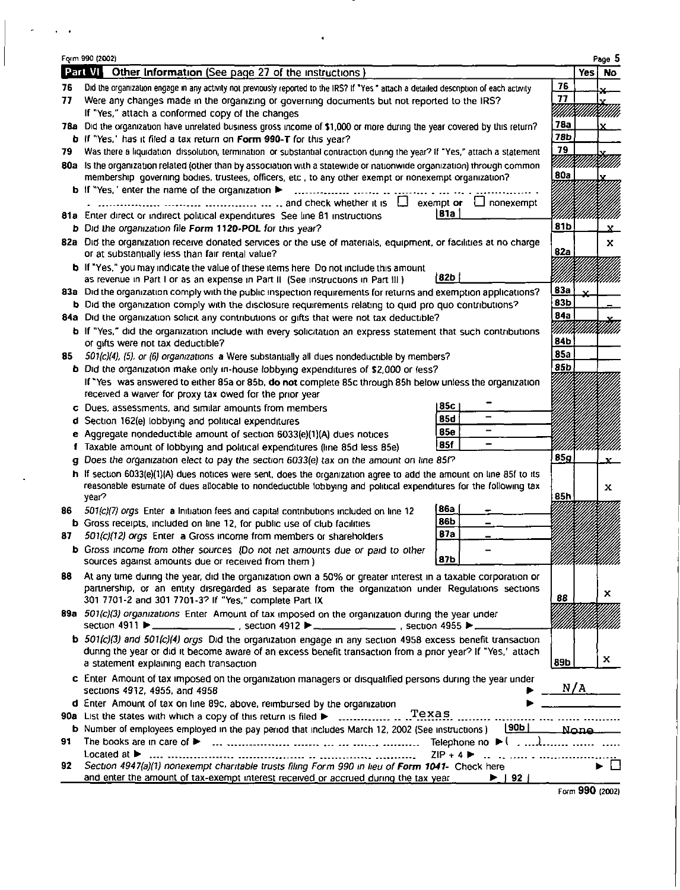|             | Page 5                                                             |
|-------------|--------------------------------------------------------------------|
|             | Yesi No                                                            |
| 76          |                                                                    |
| 77          |                                                                    |
| UMA         | unana                                                              |
| 78a         |                                                                    |
| 78b         |                                                                    |
| 79          |                                                                    |
|             |                                                                    |
| 80a         |                                                                    |
|             |                                                                    |
|             |                                                                    |
|             |                                                                    |
| 81b         | x.                                                                 |
| 82a         | x                                                                  |
|             |                                                                    |
|             |                                                                    |
| 83a         |                                                                    |
| 83b         |                                                                    |
| 84a         |                                                                    |
| Willikuuman |                                                                    |
| 84b         |                                                                    |
| <b>85a</b>  |                                                                    |
| 85b         |                                                                    |
|             |                                                                    |
|             |                                                                    |
|             |                                                                    |
|             |                                                                    |
|             |                                                                    |
| 85g         |                                                                    |
|             |                                                                    |
|             | x                                                                  |
| 85h         |                                                                    |
|             |                                                                    |
|             |                                                                    |
|             |                                                                    |
|             |                                                                    |
| YMMMM       |                                                                    |
|             |                                                                    |
|             | х                                                                  |
| 88          |                                                                    |
|             |                                                                    |
|             |                                                                    |
|             | x                                                                  |
|             |                                                                    |
|             |                                                                    |
|             |                                                                    |
|             |                                                                    |
|             |                                                                    |
|             |                                                                    |
|             |                                                                    |
|             |                                                                    |
|             | 89b<br>N/A<br>None.<br>Telephone no $\blacktriangleright$ ( , , ), |

 $\epsilon$ 

 $\epsilon=0$ 

Form 990 (2002)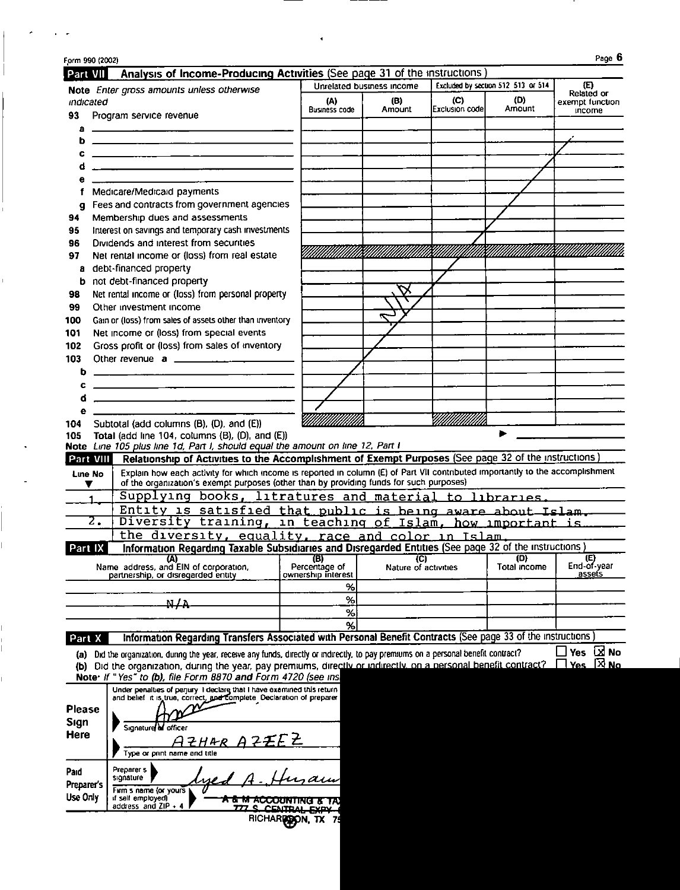| Form 990 (2002)<br>Part VII | Analysis of Income-Producing Activities (See page 31 of the instructions)                                                             |                      |                             |                 |                                    | Page 6                        |
|-----------------------------|---------------------------------------------------------------------------------------------------------------------------------------|----------------------|-----------------------------|-----------------|------------------------------------|-------------------------------|
|                             |                                                                                                                                       |                      | Unrelated business income   |                 | Excluded by section 512 513 or 514 | Œ)                            |
| indicated                   | Note Enter gross amounts unless otherwise                                                                                             | (A)                  | (B)                         | (C)             | (D)                                | Related or<br>exempt function |
| 93                          | Program service revenue                                                                                                               | <b>Business code</b> | Amount                      | Exclusion codel | Amount                             | <b>Income</b>                 |
| a                           |                                                                                                                                       |                      |                             |                 |                                    |                               |
| ь                           |                                                                                                                                       |                      |                             |                 |                                    |                               |
| c                           |                                                                                                                                       |                      |                             |                 |                                    |                               |
|                             | <u>a componente de la componenta de la componenta de la componenta de la componenta de la componenta de la compo</u>                  |                      |                             |                 |                                    |                               |
|                             |                                                                                                                                       |                      |                             |                 |                                    |                               |
|                             | Medicare/Medicald payments                                                                                                            |                      |                             |                 |                                    |                               |
| a                           | Fees and contracts from government agencies                                                                                           |                      |                             |                 |                                    |                               |
| 94                          | Membership dues and assessments                                                                                                       |                      |                             |                 |                                    |                               |
| 95                          | Interest on savings and temporary cash investments                                                                                    |                      |                             |                 |                                    |                               |
| 96                          | Dividends and interest from securities                                                                                                |                      |                             |                 |                                    |                               |
| 97                          | Net rental income or (loss) from real estate                                                                                          |                      |                             |                 |                                    |                               |
| a                           | debt-financed property                                                                                                                |                      |                             |                 |                                    |                               |
| b                           | not debt-financed property                                                                                                            |                      |                             |                 |                                    |                               |
| 98                          | Net rental income or (loss) from personal property                                                                                    |                      |                             |                 |                                    |                               |
| 99                          | Other investment income                                                                                                               |                      |                             |                 |                                    |                               |
| 100                         | Gain or (loss) from sales of assets other than inventory                                                                              |                      |                             |                 |                                    |                               |
| 101                         | Net income or (loss) from special events                                                                                              |                      |                             |                 |                                    |                               |
| 102                         | Gross profit or (loss) from sales of inventory                                                                                        |                      |                             |                 |                                    |                               |
| 103                         |                                                                                                                                       |                      |                             |                 |                                    |                               |
| b                           |                                                                                                                                       |                      |                             |                 |                                    |                               |
| c                           |                                                                                                                                       |                      |                             |                 |                                    |                               |
| đ                           |                                                                                                                                       |                      |                             |                 |                                    |                               |
| е<br>104                    | Subtotal (add columns (B), (D), and (E))                                                                                              |                      |                             |                 |                                    |                               |
| 105                         | Total (add line 104, columns $(B)$ , $(D)$ , and $(E)$ )                                                                              |                      |                             |                 |                                    |                               |
|                             | Note Line 105 plus line 1d, Part I, should equal the amount on line 12, Part I                                                        |                      |                             |                 |                                    |                               |
| Part VIII                   | Relationship of Activities to the Accomplishment of Exempt Purposes (See page 32 of the instructions)                                 |                      |                             |                 |                                    |                               |
| Line No                     | Explain how each activity for which income is reported in column (E) of Part VII contributed importantly to the accomplishment        |                      |                             |                 |                                    |                               |
|                             | of the organization's exempt purposes (other than by providing funds for such purposes)                                               |                      |                             |                 |                                    |                               |
|                             | Supplying books, litratures and material to libraries.                                                                                |                      |                             |                 |                                    |                               |
|                             | Entity is satisfied that public is being aware about Islam.                                                                           |                      |                             |                 |                                    |                               |
| $\overline{z}$ .            | Diversity training, in teaching of Islam, how important is                                                                            |                      |                             |                 |                                    |                               |
|                             | the diversity, equality, race and color in Islam.                                                                                     |                      |                             |                 |                                    |                               |
| Part IX                     | Information Regarding Taxable Subsidiaries and Disregarded Entities (See page 32 of the instructions)                                 |                      |                             |                 |                                    |                               |
|                             | (A)<br>Name address, and EIN of corporation.                                                                                          | (B)<br>Percentage of | (C)<br>Nature of activities |                 | (D)<br>Total income                | $End-of-year$                 |
|                             | partnership, or disregarded enuty                                                                                                     | ownership interest   |                             |                 |                                    | assets                        |
|                             |                                                                                                                                       | %                    |                             |                 |                                    |                               |
|                             | N LA                                                                                                                                  | %                    |                             |                 |                                    |                               |
|                             |                                                                                                                                       | $\%$                 |                             |                 |                                    |                               |
|                             |                                                                                                                                       | %                    |                             |                 |                                    |                               |
| Part X                      | Information Regarding Transfers Associated with Personal Benefit Contracts (See page 33 of the instructions)                          |                      |                             |                 |                                    |                               |
|                             | (a) Did the organization, during the year, receive any funds, directly or indirectly, to pay premiums on a personal benefit contract? |                      |                             |                 |                                    | Yes <b>EX</b> No              |
|                             | (b) Did the organization, during the year, pay premiums, directly or indirectly, on a personal benefit contract?                      |                      |                             |                 |                                    | $\Box$ Yes $\boxtimes$ No.    |
|                             | Note: If "Yes" to (b), file Form 8870 and Form 4720 (see ins                                                                          |                      |                             |                 |                                    |                               |
|                             |                                                                                                                                       |                      |                             |                 |                                    |                               |
|                             | Under penalties of perjury I declare that I have examined this return                                                                 |                      |                             |                 |                                    |                               |
| <b>Please</b>               | and belief it is true, correct, and complete. Declaration of preparer                                                                 |                      |                             |                 |                                    |                               |
| Sign                        |                                                                                                                                       |                      |                             |                 |                                    |                               |
| <b>Here</b>                 | Signature of officer                                                                                                                  |                      |                             |                 |                                    |                               |
|                             | ZHAR AZEEZ                                                                                                                            |                      |                             |                 |                                    |                               |
|                             | Type or print name and title                                                                                                          |                      |                             |                 |                                    |                               |
| Paid                        | Preparer s                                                                                                                            |                      |                             |                 |                                    |                               |
| <b>Preparer's</b>           | signature<br>ue                                                                                                                       |                      |                             |                 |                                    |                               |
| Use Only                    | Firm s name (or yours<br>if self employed)                                                                                            |                      |                             |                 |                                    |                               |
|                             | A & M ACCOUNTING & TAX<br>address and ZIP + 4<br><u>777 S. CENTRAI</u>                                                                |                      |                             |                 |                                    |                               |
|                             |                                                                                                                                       | RICHARDOON, TX       |                             |                 |                                    |                               |
|                             |                                                                                                                                       |                      |                             |                 |                                    |                               |

 $\mathcal{A}$ 

 $\mathcal{O}(\sigma)$  , and  $\mathcal{O}(\sigma)$ 

 $\overline{1}$ 

 $\begin{array}{c} \hline \end{array}$ 

 $\bar{1}$ 

 $\frac{1}{\sqrt{2}}$ 

 $\frac{1}{1}$ 

 $\overline{1}$ 

 $\mathbf{I}$  $\frac{1}{1}$ 

 $\mathbf{r}$ 

-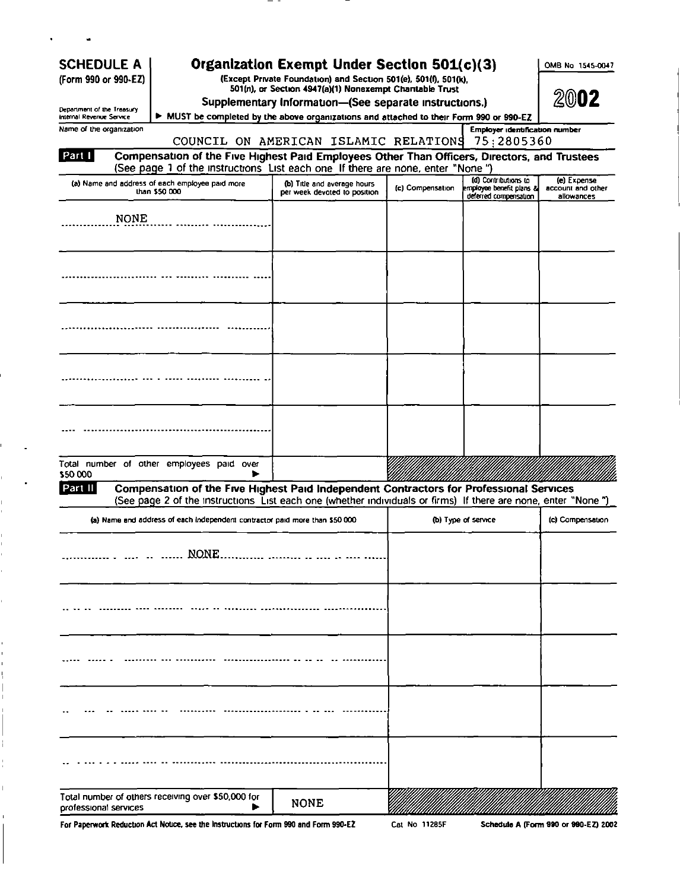| <b>SCHEDULE A</b><br>(Form 990 or 990-EZ)              |                                                                                                                                                                                                          | Organization Exempt Under Section 501(c)(3)<br>(Except Private Foundation) and Section 501(e), 501(f), 501(k),<br>501(n), or Section 4947(a)(1) Nonexempt Chantable Trust<br>Supplementary Information-(See separate instructions.) |                  |                                                   | OMB No 1545-0047<br>2002        |
|--------------------------------------------------------|----------------------------------------------------------------------------------------------------------------------------------------------------------------------------------------------------------|-------------------------------------------------------------------------------------------------------------------------------------------------------------------------------------------------------------------------------------|------------------|---------------------------------------------------|---------------------------------|
| Department of the Treasury<br>Internal Revenue Service | MUST be completed by the above organizations and attached to their Form 990 or 990-EZ                                                                                                                    |                                                                                                                                                                                                                                     |                  |                                                   |                                 |
| Name of the organization                               |                                                                                                                                                                                                          |                                                                                                                                                                                                                                     |                  | Employer identification number                    |                                 |
|                                                        | COUNCIL ON AMERICAN ISLAMIC RELATIONS                                                                                                                                                                    |                                                                                                                                                                                                                                     |                  | 75:2805360                                        |                                 |
| Part I                                                 | Compensation of the Five Highest Paid Employees Other Than Officers, Directors, and Trustees<br>(See page 1 of the instructions List each one If there are none, enter "None")                           |                                                                                                                                                                                                                                     |                  |                                                   |                                 |
|                                                        | (a) Name and address of each employee paid more                                                                                                                                                          | (b) Title and average hours                                                                                                                                                                                                         |                  | (d) Contributions to                              | (e) Expense                     |
|                                                        | than \$50,000                                                                                                                                                                                            | per week devoted to position                                                                                                                                                                                                        | (c) Compensation | employee benefit plans &<br>deferred compensation | account and other<br>allowances |
| <b>NONE</b>                                            |                                                                                                                                                                                                          |                                                                                                                                                                                                                                     |                  |                                                   |                                 |
|                                                        |                                                                                                                                                                                                          |                                                                                                                                                                                                                                     |                  |                                                   |                                 |
|                                                        |                                                                                                                                                                                                          |                                                                                                                                                                                                                                     |                  |                                                   |                                 |
|                                                        |                                                                                                                                                                                                          |                                                                                                                                                                                                                                     |                  |                                                   |                                 |
|                                                        |                                                                                                                                                                                                          |                                                                                                                                                                                                                                     |                  |                                                   |                                 |
| \$50,000                                               | Total number of other employees paid over                                                                                                                                                                |                                                                                                                                                                                                                                     |                  |                                                   |                                 |
| Part II                                                | Compensation of the Five Highest Paid Independent Contractors for Professional Services<br>(See page 2 of the instructions List each one (whether individuals or firms) If there are none, enter "None") |                                                                                                                                                                                                                                     |                  |                                                   |                                 |
|                                                        | (a) Name and address of each independent contractor paid more than \$50,000.                                                                                                                             |                                                                                                                                                                                                                                     |                  | (b) Type of service                               | (c) Compensation                |
|                                                        |                                                                                                                                                                                                          |                                                                                                                                                                                                                                     |                  |                                                   |                                 |
|                                                        | NONE                                                                                                                                                                                                     |                                                                                                                                                                                                                                     |                  |                                                   |                                 |
|                                                        |                                                                                                                                                                                                          |                                                                                                                                                                                                                                     |                  |                                                   |                                 |
|                                                        |                                                                                                                                                                                                          |                                                                                                                                                                                                                                     |                  |                                                   |                                 |
|                                                        |                                                                                                                                                                                                          |                                                                                                                                                                                                                                     |                  |                                                   |                                 |
|                                                        |                                                                                                                                                                                                          |                                                                                                                                                                                                                                     |                  |                                                   |                                 |
|                                                        | Total number of others receiving over \$50,000 for                                                                                                                                                       |                                                                                                                                                                                                                                     |                  |                                                   |                                 |

 $\overline{\phantom{0}}$  $\overline{\phantom{a}}$ 

For Paperwork Reduction Act Notice, see the Instructions for Form 990 and Form 990-EZ

 $\frac{1}{1}$ 

í.  $\mathbf{I}$ ĭ.

Ł

 $\overline{1}$ 

 $\overline{1}$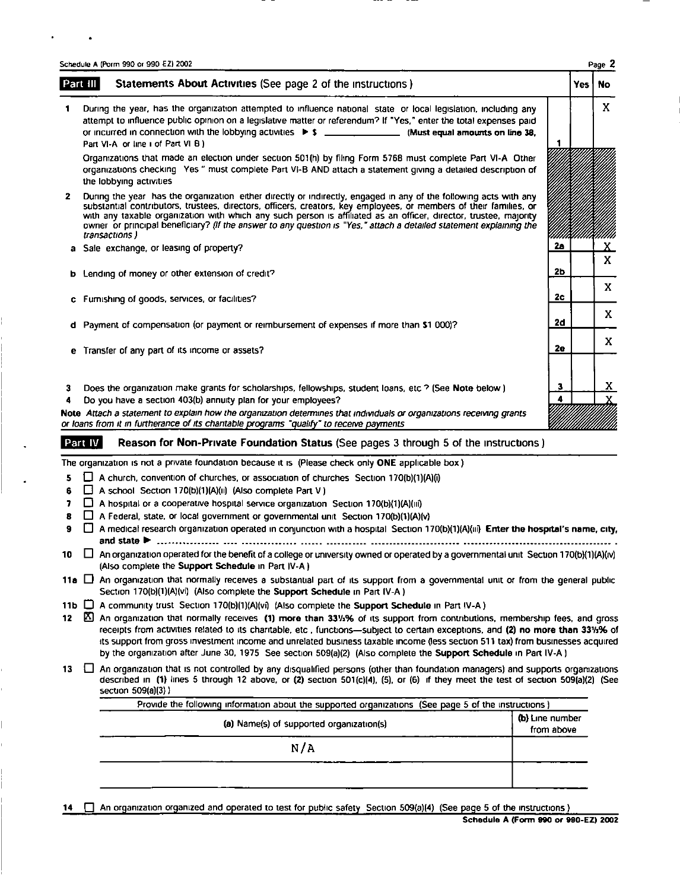|              | Schedule A (Porm 990 or 990 EZ) 2002                                                                                                                                                                                                                                                                                                                                                                                                                                                                 |            | Page 2             |
|--------------|------------------------------------------------------------------------------------------------------------------------------------------------------------------------------------------------------------------------------------------------------------------------------------------------------------------------------------------------------------------------------------------------------------------------------------------------------------------------------------------------------|------------|--------------------|
|              | Statements About Activities (See page 2 of the instructions)<br>Part III                                                                                                                                                                                                                                                                                                                                                                                                                             | <b>Yes</b> | <b>No</b>          |
|              | During the year, has the organization attempted to influence national state or local legislation, including any<br>attempt to influence public opinion on a legislative matter or referendum? If "Yes," enter the total expenses paid<br>or incurred in connection with the lobbying activities $\triangleright$ \$ ________________. (Must equal amounts on line 38,<br>Part VI-A or line i of Part VI B)                                                                                           |            | X                  |
|              | Organizations that made an election under section 501(h) by filing Form 5768 must complete Part VI-A Other<br>organizations checking. Yes " must complete Part VI-B AND attach a statement giving a detailed description of<br>the lobbying activities                                                                                                                                                                                                                                               |            |                    |
| $\mathbf{z}$ | During the year has the organization either directly or indirectly, engaged in any of the following acts with any<br>substantial contributors, trustees, directors, officers, creators, key employees, or members of their families, or<br>with any taxable organization with which any such person is affiliated as an officer, director, trustee, majority<br>owner or principal beneficiary? (If the answer to any question is "Yes," attach a detailed statement explaining the<br>transactions) |            |                    |
| a            | 2а<br>Sale exchange, or leasing of property?                                                                                                                                                                                                                                                                                                                                                                                                                                                         |            | х.<br>$\mathbf{x}$ |
|              | 2 <sub>b</sub><br><b>b</b> Lending of money or other extension of credit?                                                                                                                                                                                                                                                                                                                                                                                                                            |            |                    |
|              | 2c<br>c Furnishing of goods, services, or facilities?                                                                                                                                                                                                                                                                                                                                                                                                                                                |            | X.                 |
|              | 2d<br>d Payment of compensation (or payment or reimbursement of expenses if more than \$1,000)?                                                                                                                                                                                                                                                                                                                                                                                                      |            | X                  |
|              | 2e<br>e Transfer of any part of its income or assets?                                                                                                                                                                                                                                                                                                                                                                                                                                                |            | X                  |
| з<br>4       | 3<br>Does the organization make grants for scholarships, fellowships, student loans, etc ? (See Note below)<br>4<br>Do you have a section 403(b) annuity plan for your employees?<br>Note Attach a statement to explain how the organization determines that individuals or organizations receiving grants<br>or loans from it in furtherance of its charitable programs "qualify" to receive payments                                                                                               |            | $\mathbf{x}$       |
|              | Part IV<br>Reason for Non-Private Foundation Status (See pages 3 through 5 of the instructions)                                                                                                                                                                                                                                                                                                                                                                                                      |            |                    |
|              | The organization is not a private foundation because it is (Please check only ONE applicable box)                                                                                                                                                                                                                                                                                                                                                                                                    |            |                    |
| 5<br>6<br>7  | A church, convention of churches, or association of churches Section 170(b)(1)(A)(i)<br>1 I<br>A school Section 170(b)(1)(A)(ii) (Also complete Part V)<br>$\mathsf{L}$<br>A hospital or a cooperative hospital service organization Section 170(b)(1)(A)(iii)<br>ப                                                                                                                                                                                                                                  |            |                    |
|              | A Federal ototo, or local government or coverage that und. Centres 170/6V/1VAV.A                                                                                                                                                                                                                                                                                                                                                                                                                     |            |                    |

- $8 \square$  A Federal, state, or local government or governmental unit Section 170(b)(1)(A)(v)
- 9  $\Box$  A medical research organization operated in conjunction with a hospital Section 170(b)(1)(A)(iii) Enter the hospital's name, city, and state Ii . . . . . . . . . . . . . . . . . °-- . . . . . . . . . . . . . . . -°°- ----------- . . . . . . . . . . . . . . . . . . . . . . . . . . . . . . . . . . . . . . . . . . .----°-°°--°------
- 10  $\Box$  An organization operated for the benefit of a college or university owned or operated by a governmental unit Section 170(b)(1)(A)(iv) (Also complete the Support Schedule in Part IV-A)
- 11a  $\Box$  An organization that normally receives a substantial part of its support from a governmental unit or from the general public Section 170(b)(1)(A)(vi) (Also complete the Support Schedule in Part IV-A)
- 11b  $\Box$  A community trust Section 170(b)(1)(A)(vi) (Also complete the Support Schedule in Part IV-A)
- 12  $\boxtimes$  An organization that normally receives (1) more than 33%% of its support from contributions, membership fees, and gross receipts from activities related to its charitable, etc , functions-subject to certain exceptions, and (2) no more than 331/h% of its support from gross investment income and unrelated business taxable income (less section 511 tax) from businesses acquired by the organization after June 30, 1975 See section 509(a)(2) (Also complete the Support Schedule in Part IV-A)
- 13 <sup>C</sup>An organization that is not controlled by any disqualified persons (other than foundation managers) and supports organizations described in (1) lines 5 through 12 above, or (2) section 501(c)(4), (5), or (6) if they meet the test of section 509(a)(2) (See section 509(a)(3) )

| Provide the following information about the supported organizations (See page 5 of the instructions)<br>(a) Name(s) of supported organization(s) | (b) Line number<br>from above |
|--------------------------------------------------------------------------------------------------------------------------------------------------|-------------------------------|
| N/A                                                                                                                                              |                               |
|                                                                                                                                                  |                               |

14 **c** An organization organized and operated to test for public safety Section 509(a)(4) (See page 5 of the instructions)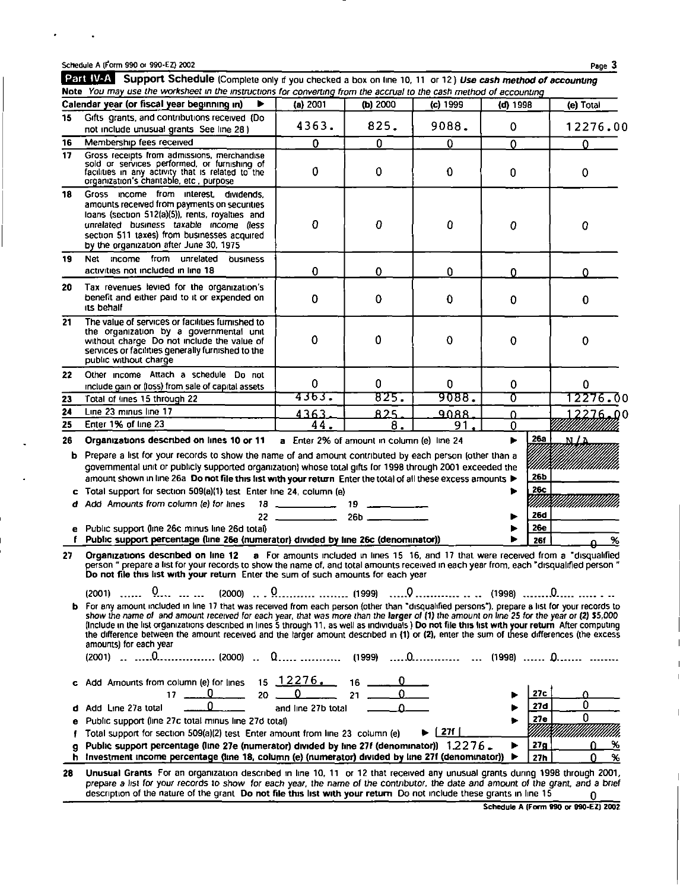$\cdot$ 

 $\bullet$ 

|         | Part IV-A Support Schedule (Complete only if you checked a box on line 10, 11 or 12) Use cash method of accounting<br>Note You may use the worksheet in the instructions for converting from the accrual to the cash method of accounting                                                                                                                                                                                                                                                                                                                                                                                                                                                                                                                                                                                                                                                                                                                                                                                                 |                        |                                            |            |                          |              |
|---------|-------------------------------------------------------------------------------------------------------------------------------------------------------------------------------------------------------------------------------------------------------------------------------------------------------------------------------------------------------------------------------------------------------------------------------------------------------------------------------------------------------------------------------------------------------------------------------------------------------------------------------------------------------------------------------------------------------------------------------------------------------------------------------------------------------------------------------------------------------------------------------------------------------------------------------------------------------------------------------------------------------------------------------------------|------------------------|--------------------------------------------|------------|--------------------------|--------------|
|         | Calendar year (or fiscal year beginning in)                                                                                                                                                                                                                                                                                                                                                                                                                                                                                                                                                                                                                                                                                                                                                                                                                                                                                                                                                                                               | (a) 2001               | (b) $2000$                                 | (c) 1999   | (d) 1998                 | (e) Total    |
| 15      | Gifts grants, and contributions received (Do<br>not include unusual grants See line 28)                                                                                                                                                                                                                                                                                                                                                                                                                                                                                                                                                                                                                                                                                                                                                                                                                                                                                                                                                   | 4363.                  | 825.                                       | 9088.      | 0                        | 12276.00     |
| 16      | Membership fees received                                                                                                                                                                                                                                                                                                                                                                                                                                                                                                                                                                                                                                                                                                                                                                                                                                                                                                                                                                                                                  | 0                      | 0                                          | 0          | 0                        | 0            |
| 17      | Gross receipts from admissions, merchandise<br>sold or services performed, or furnishing of<br>facilities in any activity that is related to the<br>organization's charitable, etc., purpose                                                                                                                                                                                                                                                                                                                                                                                                                                                                                                                                                                                                                                                                                                                                                                                                                                              | 0                      | 0                                          | $\bf{0}$   | 0                        | 0            |
| 18      | Gross income from interest, dividends,<br>amounts received from payments on securities<br>loans (section 512(a)(5)), rents, royalties and<br>unrelated business taxable income (less<br>section 511 taxes) from businesses acquired<br>by the organization after June 30, 1975                                                                                                                                                                                                                                                                                                                                                                                                                                                                                                                                                                                                                                                                                                                                                            | 0                      | 0                                          | 0          | 0                        | 0            |
| 19      | <b>Income</b><br>from unrelated<br>Net<br>business<br>activities not included in line 18                                                                                                                                                                                                                                                                                                                                                                                                                                                                                                                                                                                                                                                                                                                                                                                                                                                                                                                                                  | $\mathbf 0$            | 0                                          | 0          | O                        | Ω            |
| 20      | Tax revenues levied for the organization's<br>benefit and either paid to it or expended on<br>its behalf                                                                                                                                                                                                                                                                                                                                                                                                                                                                                                                                                                                                                                                                                                                                                                                                                                                                                                                                  | 0                      | 0                                          | 0          | 0                        | 0            |
| 21      | The value of services or facilities furnished to<br>the organization by a governmental unit<br>without charge. Do not include the value of<br>services or facilities generally furnished to the<br>public without charge                                                                                                                                                                                                                                                                                                                                                                                                                                                                                                                                                                                                                                                                                                                                                                                                                  | 0                      | 0                                          | 0          | 0                        | 0            |
| 22      | Other income Attach a schedule Do not<br>include gain or (loss) from sale of capital assets                                                                                                                                                                                                                                                                                                                                                                                                                                                                                                                                                                                                                                                                                                                                                                                                                                                                                                                                               | $\mathbf 0$            | 0                                          | 0          | 0                        | 0            |
| 23      | Total of lines 15 through 22                                                                                                                                                                                                                                                                                                                                                                                                                                                                                                                                                                                                                                                                                                                                                                                                                                                                                                                                                                                                              | 4363.                  | 825.                                       | 9088.      | ᢐ                        | 12276.00     |
| 24      | Line 23 minus line 17                                                                                                                                                                                                                                                                                                                                                                                                                                                                                                                                                                                                                                                                                                                                                                                                                                                                                                                                                                                                                     | 4363                   | 825.                                       | 9088       | $\Omega$                 | 00 ـ12276    |
| 25      | Enter 1% of line 23                                                                                                                                                                                                                                                                                                                                                                                                                                                                                                                                                                                                                                                                                                                                                                                                                                                                                                                                                                                                                       | 44.                    | 8.                                         | 91         | 0                        |              |
| 26      | Organizations described on lines 10 or 11                                                                                                                                                                                                                                                                                                                                                                                                                                                                                                                                                                                                                                                                                                                                                                                                                                                                                                                                                                                                 |                        | a Enter 2% of amount in column (e) line 24 |            | <u>26a</u>               | <u>n / a</u> |
| b       | Prepare a list for your records to show the name of and amount contributed by each person (other than a<br>governmental unit or publicly supported organization) whose total gifts for 1998 through 2001 exceeded the<br>amount shown in line 26a Do not file this list with your return Enter the total of all these excess amounts ▶<br>Total support for section 509(a)(1) test Enter line 24, column (e)                                                                                                                                                                                                                                                                                                                                                                                                                                                                                                                                                                                                                              |                        |                                            |            | 26b<br><b>26c</b>        |              |
|         | Add Amounts from column (e) for lines                                                                                                                                                                                                                                                                                                                                                                                                                                                                                                                                                                                                                                                                                                                                                                                                                                                                                                                                                                                                     | $18 \sim$<br>$22 - 22$ | 19<br>26b                                  |            | mm<br><b>26d</b>         |              |
| е       | Public support (line 26c minus line 26d total)<br>Public support percentage (line 26e (numerator) divided by line 26c (denominator))                                                                                                                                                                                                                                                                                                                                                                                                                                                                                                                                                                                                                                                                                                                                                                                                                                                                                                      |                        |                                            |            | <b>26e</b><br><b>26f</b> | %            |
| 27<br>b | Organizations described on line 12 a For amounts included in lines 15 16, and 17 that were received from a "disqualified<br>person " prepare a list for your records to show the name of, and total amounts received in each year from, each "disqualified person "<br>Do not file this list with your return Enter the sum of such amounts for each year<br>$\overline{0}$ .<br>$(2000)$ $\overline{0}$ .<br>$(2001)$<br>$\overline{a}$<br>For any amount included in line 17 that was received from each person (other than "disqualified persons"), prepare a list for your records to<br>show the name of and amount received for each year, that was more than the larger of (1) the amount on line 25 for the year or (2) \$5,000<br>(Include in the list organizations described in lines 5 through 11, as well as individuals) Do not file this list with your return After computing<br>the difference between the amount received and the larger amount described in (1) or (2), enter the sum of these differences (the excess |                        |                                            |            |                          |              |
|         | amounts) for each year                                                                                                                                                                                                                                                                                                                                                                                                                                                                                                                                                                                                                                                                                                                                                                                                                                                                                                                                                                                                                    |                        |                                            |            |                          |              |
| c       | Add Amounts from column (e) for lines<br>. U<br>20<br>17.                                                                                                                                                                                                                                                                                                                                                                                                                                                                                                                                                                                                                                                                                                                                                                                                                                                                                                                                                                                 | $15 \ \ 12276.$<br>0   | $16 \quad \qquad$                          |            | 27c<br>27d               | 0            |
| d       | Add Line 27a total                                                                                                                                                                                                                                                                                                                                                                                                                                                                                                                                                                                                                                                                                                                                                                                                                                                                                                                                                                                                                        | and line 27b total     |                                            |            | 27e                      | 0            |
| е       | Public support (line 27c total minus line 27d total)<br>Total support for section 509(a)(2) test Enter amount from line 23 column (e)                                                                                                                                                                                                                                                                                                                                                                                                                                                                                                                                                                                                                                                                                                                                                                                                                                                                                                     |                        |                                            | 271  <br>▶ |                          |              |
| g       | Public support percentage (line 27e (numerator) divided by line 27f (denominator)) $1.2276$ .                                                                                                                                                                                                                                                                                                                                                                                                                                                                                                                                                                                                                                                                                                                                                                                                                                                                                                                                             |                        |                                            |            | 27g<br>▶                 | %            |
| h       | Investment income percentage (line 18, column (e) (numerator) divided by line 27f (denominator))                                                                                                                                                                                                                                                                                                                                                                                                                                                                                                                                                                                                                                                                                                                                                                                                                                                                                                                                          |                        |                                            |            | ▶<br>27h                 | 96           |
| 28      | Unusual Grants For an organization described in line 10, 11 or 12 that received any unusual grants during 1998 through 2001,                                                                                                                                                                                                                                                                                                                                                                                                                                                                                                                                                                                                                                                                                                                                                                                                                                                                                                              |                        |                                            |            |                          |              |

prepare a list for your records to show for each year, the name of the contributor, the date and amount of the grant, and a brief<br>description of the nature of the grant. Do not file this list with your return. Do not inclu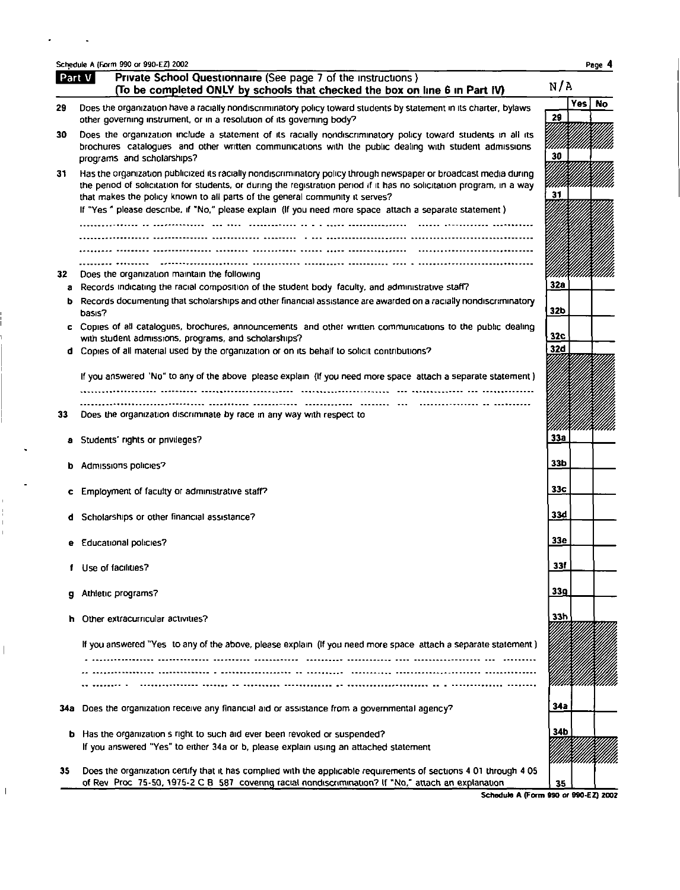|      | Schedule A (Form 990 or 990-EZ) 2002                                                                                                                                                                                                                                                                                        |             | Page 4    |
|------|-----------------------------------------------------------------------------------------------------------------------------------------------------------------------------------------------------------------------------------------------------------------------------------------------------------------------------|-------------|-----------|
|      | Private School Questionnaire (See page 7 of the instructions)<br>Part V<br>(To be completed ONLY by schools that checked the box on line 6 in Part IV)                                                                                                                                                                      | N/A         |           |
| 29   | Does the organization have a racially nondiscriminatory policy toward students by statement in its charter, bylaws<br>other governing instrument, or in a resolution of its governing body?                                                                                                                                 | Yes l<br>29 | <b>No</b> |
| 30   | Does the organization include a statement of its racially nondiscriminatory policy toward students in all its<br>brochures catalogues and other written communications with the public dealing with student admissions<br>programs and scholarships?                                                                        | 30          |           |
| 31   | Has the organization publicized its racially nondiscriminatory policy through newspaper or broadcast media during<br>the period of solicitation for students, or during the registration period if it has no solicitation program, in a way<br>that makes the policy known to all parts of the general community it serves? | 31          |           |
|      | If "Yes " please describe, if "No," please explain (If you need more space attach a separate statement)                                                                                                                                                                                                                     |             |           |
|      |                                                                                                                                                                                                                                                                                                                             |             |           |
| 32   | Does the organization maintain the following                                                                                                                                                                                                                                                                                |             |           |
| a    | Records indicating the racial composition of the student body faculty, and administrative staff?                                                                                                                                                                                                                            | <b>32a</b>  |           |
| b    | Records documenting that scholarships and other financial assistance are awarded on a racially nondiscriminatory<br>basis?                                                                                                                                                                                                  | 32b         |           |
|      | c Copies of all catalogues, brochures, announcements and other written communications to the public dealing<br>with student admissions, programs, and scholarships?                                                                                                                                                         | 32c         |           |
|      | d Copies of all material used by the organization or on its behalf to solicit contributions?                                                                                                                                                                                                                                | 32d         |           |
|      | If you answered 'No" to any of the above please explain (If you need more space attach a separate statement)                                                                                                                                                                                                                |             |           |
|      |                                                                                                                                                                                                                                                                                                                             |             |           |
| 33   | Does the organization discriminate by race in any way with respect to                                                                                                                                                                                                                                                       |             |           |
|      | Students' rights or privileges?                                                                                                                                                                                                                                                                                             | 33a         |           |
| b    | Admissions policies?                                                                                                                                                                                                                                                                                                        | 33b         |           |
| c    | Employment of faculty or administrative staff?                                                                                                                                                                                                                                                                              | 33c         |           |
|      | Scholarships or other financial assistance?                                                                                                                                                                                                                                                                                 | 33d         |           |
|      | e Educational policies?                                                                                                                                                                                                                                                                                                     | <b>33e</b>  |           |
|      | Use of facilities?                                                                                                                                                                                                                                                                                                          | 33f         |           |
|      | Athletic programs?                                                                                                                                                                                                                                                                                                          | 33q         |           |
| ħ    | Other extracurricular activities?                                                                                                                                                                                                                                                                                           | 33h         |           |
|      | If you answered "Yes to any of the above, please explain (If you need more space attach a separate statement)                                                                                                                                                                                                               |             |           |
|      |                                                                                                                                                                                                                                                                                                                             |             |           |
|      |                                                                                                                                                                                                                                                                                                                             |             |           |
| 34 a | Does the organization receive any financial aid or assistance from a governmental agency?                                                                                                                                                                                                                                   | 34a         |           |
| b    | Has the organization s right to such aid ever been revoked or suspended?                                                                                                                                                                                                                                                    | 34b         |           |
|      | If you answered "Yes" to either 34a or b, please explain using an attached statement                                                                                                                                                                                                                                        |             |           |
| 35   | Does the organization certify that it has complied with the applicable requirements of sections 4 01 through 4 05<br>of Rev. Proc. 75-50, 1975-2 C B 587 covering racial nondiscrimination? If "No," attach an explanation                                                                                                  | 35          |           |

 $\hat{\mathbf{z}}$ 

 $\begin{array}{c} 1 \\ 1 \\ 1 \\ 1 \end{array}$  $\overline{1}$ 

 $\overline{\phantom{a}}$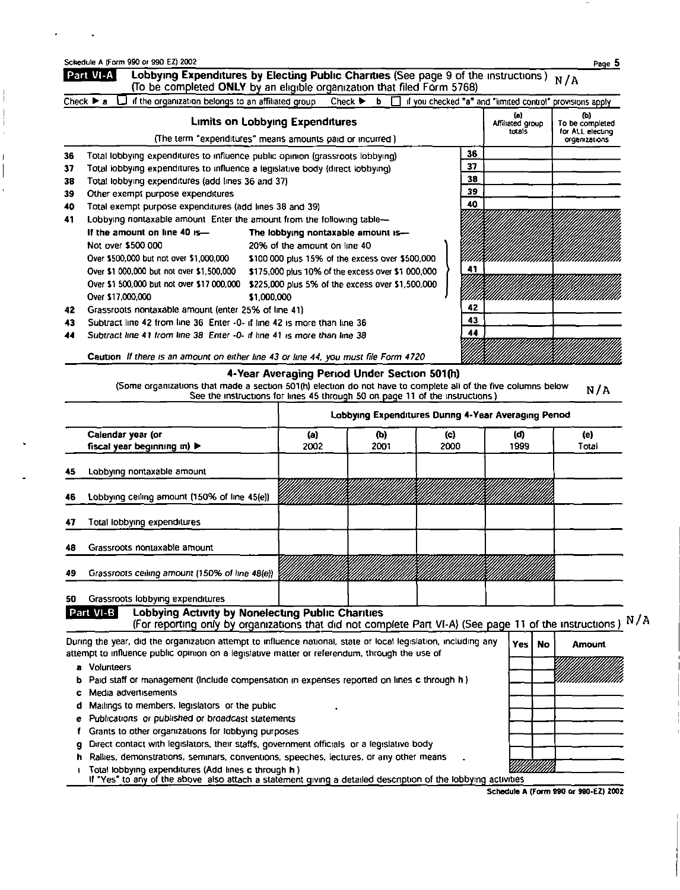| Schedule A (Form 990 or 990 EZ) 2002 |  |  |  |  |
|--------------------------------------|--|--|--|--|
|                                      |  |  |  |  |

Î

|    | Lobbying Expenditures by Electing Public Charities (See page 9 of the instructions) $N/A$<br>(To be completed ONLY by an eligible organization that filed Form 5768)<br>Check $\triangleright$ a $\square$ if the organization belongs to an affiliated group |                                                   |  |  |  |  |    | Check $\triangleright$ b $\square$ if you checked "a" and "limited control" provisions apply |                                                             |
|----|---------------------------------------------------------------------------------------------------------------------------------------------------------------------------------------------------------------------------------------------------------------|---------------------------------------------------|--|--|--|--|----|----------------------------------------------------------------------------------------------|-------------------------------------------------------------|
|    | (The term "expenditures" means amounts paid or incurred)                                                                                                                                                                                                      | <b>Limits on Lobbying Expenditures</b>            |  |  |  |  |    | (a)<br>Affiliated group<br>totals                                                            | (b)<br>To be completed<br>for ALL electing<br>organizations |
| 36 | Total lobbying expenditures to influence public opinion (grassroots lobbying)                                                                                                                                                                                 |                                                   |  |  |  |  | 36 |                                                                                              |                                                             |
| 37 | Total lobbying expenditures to influence a legislative body (direct lobbying)                                                                                                                                                                                 |                                                   |  |  |  |  | 37 |                                                                                              |                                                             |
| 38 | 38<br>Total lobbying expenditures (add lines 36 and 37)                                                                                                                                                                                                       |                                                   |  |  |  |  |    |                                                                                              |                                                             |
| 39 | Other exempt purpose expenditures                                                                                                                                                                                                                             |                                                   |  |  |  |  | 39 |                                                                                              |                                                             |
| 40 | Total exempt purpose expenditures (add lines 38 and 39)                                                                                                                                                                                                       |                                                   |  |  |  |  | 40 |                                                                                              |                                                             |
| 41 | Lobbying nontaxable amount Enter the amount from the following table-                                                                                                                                                                                         |                                                   |  |  |  |  |    |                                                                                              |                                                             |
|    | If the amount on line 40 is-                                                                                                                                                                                                                                  | The lobbying nontaxable amount is-                |  |  |  |  |    |                                                                                              |                                                             |
|    | Not over \$500 000                                                                                                                                                                                                                                            | 20% of the amount on line 40                      |  |  |  |  |    |                                                                                              |                                                             |
|    | Over \$500,000 but not over \$1,000,000                                                                                                                                                                                                                       | \$100,000 plus 15% of the excess over \$500,000   |  |  |  |  |    |                                                                                              |                                                             |
|    | Over \$1,000,000 but not over \$1,500,000                                                                                                                                                                                                                     | \$175,000 plus 10% of the excess over \$1 000,000 |  |  |  |  | 41 |                                                                                              |                                                             |
|    | Over \$1,500,000 but not over \$17,000,000                                                                                                                                                                                                                    | \$225,000 plus 5% of the excess over \$1,500,000  |  |  |  |  |    |                                                                                              |                                                             |
|    | Over \$17,000,000                                                                                                                                                                                                                                             | \$1,000,000                                       |  |  |  |  |    |                                                                                              |                                                             |
| 42 | Grassroots nontaxable amount (enter 25% of line 41)                                                                                                                                                                                                           |                                                   |  |  |  |  | 42 |                                                                                              |                                                             |
| 43 | Subtract line 42 from line 36 Enter -0- if line 42 is more than line 36                                                                                                                                                                                       |                                                   |  |  |  |  | 43 |                                                                                              |                                                             |
| 44 | Subtract line 41 from line 38 Enter -0- if line 41 is more than line 38                                                                                                                                                                                       |                                                   |  |  |  |  | 44 |                                                                                              |                                                             |
|    | Caution If there is an amount on either line 43 or line 44, you must file Form 4720                                                                                                                                                                           |                                                   |  |  |  |  |    |                                                                                              |                                                             |

## 4-Year Averaging Period Under Section 501(h)

(Some organizations that made a section 501(h) election do not have to complete all of the five columns below  $N/A$ <br>See the instructions for lines 45 through 50 on page 11 of the instructions)

|    |                                                                                                                                                                                                                 | Lobbying Expenditures Dunng 4-Year Averaging Penod |      |         |      |           |        |  |  |
|----|-----------------------------------------------------------------------------------------------------------------------------------------------------------------------------------------------------------------|----------------------------------------------------|------|---------|------|-----------|--------|--|--|
|    | Calendar year (or                                                                                                                                                                                               | (a)                                                | (b)  | (c)     | (d)  |           | (e)    |  |  |
|    | fiscal year beginning in) $\blacktriangleright$                                                                                                                                                                 | 2002                                               | 2001 | 2000    | 1999 |           | Total  |  |  |
| 45 | Lobbying nontaxable amount                                                                                                                                                                                      |                                                    |      |         |      |           |        |  |  |
| 46 | Lobbying ceiling amount (150% of line 45(e))                                                                                                                                                                    |                                                    |      | aanaana |      |           |        |  |  |
| 47 | Total lobbying expenditures                                                                                                                                                                                     |                                                    |      |         |      |           |        |  |  |
| 48 | Grassroots nontaxable amount                                                                                                                                                                                    |                                                    |      |         |      |           |        |  |  |
| 49 | Grassroots ceiling amount (150% of line 48(e))                                                                                                                                                                  |                                                    |      |         |      |           |        |  |  |
| 50 | Grassroots lobbying expenditures                                                                                                                                                                                |                                                    |      |         |      |           |        |  |  |
|    | <b>Lobbying Activity by Nonelecting Public Charities</b><br>Part VI-B<br>(For reporting only by organizations that did not complete Part VI-A) (See page 11 of the instructions) N/A                            |                                                    |      |         |      |           |        |  |  |
|    | During the year, did the organization attempt to influence national, state or local legislation, including any<br>attempt to influence public opinion on a legislative matter or referendum, through the use of |                                                    |      |         | Yes  | <b>No</b> | Amount |  |  |
| a  | <b>Volunteers</b>                                                                                                                                                                                               |                                                    |      |         |      |           |        |  |  |
|    | Paid staff or management (include compensation in expenses reported on lines c through h)                                                                                                                       |                                                    |      |         |      |           |        |  |  |
|    | Media advertisements                                                                                                                                                                                            |                                                    |      |         |      |           |        |  |  |
|    | Mailings to members, legislators or the public                                                                                                                                                                  |                                                    |      |         |      |           |        |  |  |
|    | Publications or published or broadcast statements                                                                                                                                                               |                                                    |      |         |      |           |        |  |  |
|    | Grants to other organizations for lobbying purposes                                                                                                                                                             |                                                    |      |         |      |           |        |  |  |
|    | Direct contact with legislators, their staffs, government officials or a legislative body                                                                                                                       |                                                    |      |         |      |           |        |  |  |
|    | Rallies, demonstrations, seminars, conventions, speeches, lectures, or any other means<br>Total lobbying expenditures (Add lines c through h)                                                                   |                                                    |      |         |      |           |        |  |  |

If "Yes" to any of the above also attach a statement giving a detailed description of the lobbying activities